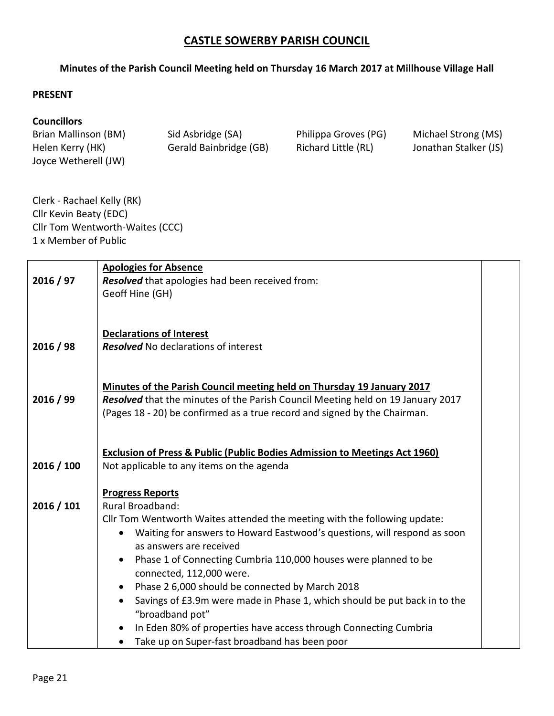## **CASTLE SOWERBY PARISH COUNCIL**

## **Minutes of the Parish Council Meeting held on Thursday 16 March 2017 at Millhouse Village Hall**

## **PRESENT**

## **Councillors**

Brian Mallinson (BM) Sid Asbridge (SA) Philippa Groves (PG) Michael Strong (MS) Helen Kerry (HK) Gerald Bainbridge (GB) Richard Little (RL) Jonathan Stalker (JS) Joyce Wetherell (JW)

Clerk - Rachael Kelly (RK) Cllr Kevin Beaty (EDC) Cllr Tom Wentworth-Waites (CCC) 1 x Member of Public

|            | <b>Apologies for Absence</b>                                                                                                       |  |  |  |  |  |
|------------|------------------------------------------------------------------------------------------------------------------------------------|--|--|--|--|--|
| 2016 / 97  | Resolved that apologies had been received from:                                                                                    |  |  |  |  |  |
|            | Geoff Hine (GH)                                                                                                                    |  |  |  |  |  |
| 2016 / 98  | <b>Declarations of Interest</b><br><b>Resolved</b> No declarations of interest                                                     |  |  |  |  |  |
|            | Minutes of the Parish Council meeting held on Thursday 19 January 2017                                                             |  |  |  |  |  |
| 2016 / 99  | Resolved that the minutes of the Parish Council Meeting held on 19 January 2017                                                    |  |  |  |  |  |
|            | (Pages 18 - 20) be confirmed as a true record and signed by the Chairman.                                                          |  |  |  |  |  |
| 2016 / 100 | <b>Exclusion of Press &amp; Public (Public Bodies Admission to Meetings Act 1960)</b><br>Not applicable to any items on the agenda |  |  |  |  |  |
|            | <b>Progress Reports</b>                                                                                                            |  |  |  |  |  |
| 2016 / 101 | Rural Broadband:                                                                                                                   |  |  |  |  |  |
|            | Cllr Tom Wentworth Waites attended the meeting with the following update:                                                          |  |  |  |  |  |
|            | Waiting for answers to Howard Eastwood's questions, will respond as soon                                                           |  |  |  |  |  |
|            | as answers are received                                                                                                            |  |  |  |  |  |
|            | Phase 1 of Connecting Cumbria 110,000 houses were planned to be                                                                    |  |  |  |  |  |
|            | connected, 112,000 were.                                                                                                           |  |  |  |  |  |
|            | Phase 2 6,000 should be connected by March 2018                                                                                    |  |  |  |  |  |
|            | Savings of £3.9m were made in Phase 1, which should be put back in to the<br>$\bullet$<br>"broadband pot"                          |  |  |  |  |  |
|            | In Eden 80% of properties have access through Connecting Cumbria                                                                   |  |  |  |  |  |
|            | Take up on Super-fast broadband has been poor<br>$\bullet$                                                                         |  |  |  |  |  |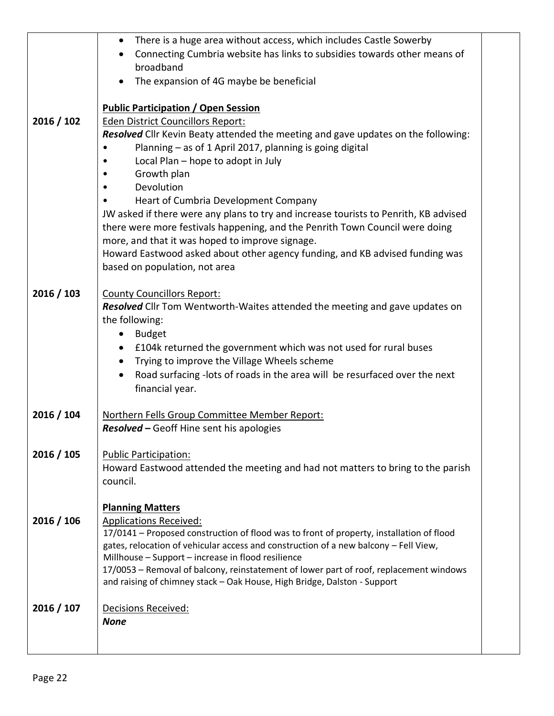|            | There is a huge area without access, which includes Castle Sowerby<br>$\bullet$<br>Connecting Cumbria website has links to subsidies towards other means of |
|------------|-------------------------------------------------------------------------------------------------------------------------------------------------------------|
|            | broadband                                                                                                                                                   |
|            | The expansion of 4G maybe be beneficial<br>$\bullet$                                                                                                        |
|            | <b>Public Participation / Open Session</b>                                                                                                                  |
| 2016 / 102 | Eden District Councillors Report:                                                                                                                           |
|            | Resolved Cllr Kevin Beaty attended the meeting and gave updates on the following:                                                                           |
|            | Planning - as of 1 April 2017, planning is going digital                                                                                                    |
|            | Local Plan - hope to adopt in July                                                                                                                          |
|            | Growth plan                                                                                                                                                 |
|            | Devolution                                                                                                                                                  |
|            | Heart of Cumbria Development Company                                                                                                                        |
|            | JW asked if there were any plans to try and increase tourists to Penrith, KB advised                                                                        |
|            | there were more festivals happening, and the Penrith Town Council were doing<br>more, and that it was hoped to improve signage.                             |
|            | Howard Eastwood asked about other agency funding, and KB advised funding was                                                                                |
|            | based on population, not area                                                                                                                               |
| 2016 / 103 | <b>County Councillors Report:</b>                                                                                                                           |
|            | Resolved Cllr Tom Wentworth-Waites attended the meeting and gave updates on                                                                                 |
|            | the following:                                                                                                                                              |
|            | <b>Budget</b>                                                                                                                                               |
|            | £104k returned the government which was not used for rural buses                                                                                            |
|            | Trying to improve the Village Wheels scheme<br>$\bullet$                                                                                                    |
|            | Road surfacing -lots of roads in the area will be resurfaced over the next<br>$\bullet$                                                                     |
|            | financial year.                                                                                                                                             |
| 2016 / 104 | Northern Fells Group Committee Member Report:                                                                                                               |
|            | <b>Resolved –</b> Geoff Hine sent his apologies                                                                                                             |
|            |                                                                                                                                                             |
| 2016 / 105 | <b>Public Participation:</b>                                                                                                                                |
|            | Howard Eastwood attended the meeting and had not matters to bring to the parish<br>council.                                                                 |
|            |                                                                                                                                                             |
|            | <b>Planning Matters</b>                                                                                                                                     |
| 2016 / 106 | <b>Applications Received:</b>                                                                                                                               |
|            | 17/0141 - Proposed construction of flood was to front of property, installation of flood                                                                    |
|            | gates, relocation of vehicular access and construction of a new balcony - Fell View,                                                                        |
|            | Millhouse - Support - increase in flood resilience                                                                                                          |
|            | 17/0053 - Removal of balcony, reinstatement of lower part of roof, replacement windows                                                                      |
|            | and raising of chimney stack - Oak House, High Bridge, Dalston - Support                                                                                    |
| 2016 / 107 | Decisions Received:                                                                                                                                         |
|            | <b>None</b>                                                                                                                                                 |
|            |                                                                                                                                                             |
|            |                                                                                                                                                             |